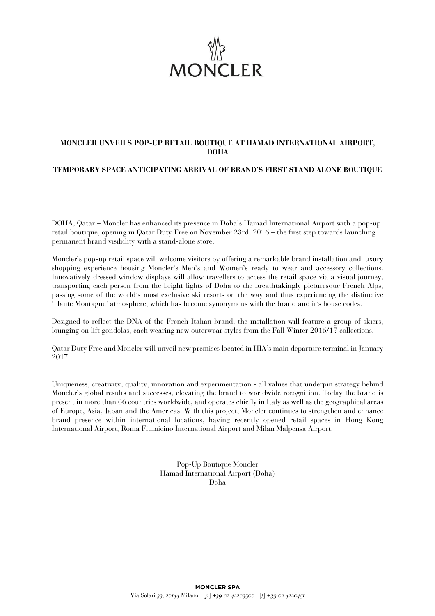

## **MONCLER UNVEILS POP-UP RETAIL BOUTIQUE AT HAMAD INTERNATIONAL AIRPORT, DOHA**

## **TEMPORARY SPACE ANTICIPATING ARRIVAL OF BRAND'S FIRST STAND ALONE BOUTIQUE**

DOHA, Qatar – Moncler has enhanced its presence in Doha's Hamad International Airport with a pop-up retail boutique, opening in Qatar Duty Free on November 23rd, 2016 – the first step towards launching permanent brand visibility with a stand-alone store.

Moncler's pop-up retail space will welcome visitors by offering a remarkable brand installation and luxury shopping experience housing Moncler's Men's and Women's ready to wear and accessory collections. Innovatively dressed window displays will allow travellers to access the retail space via a visual journey, transporting each person from the bright lights of Doha to the breathtakingly picturesque French Alps, passing some of the world's most exclusive ski resorts on the way and thus experiencing the distinctive 'Haute Montagne' atmosphere, which has become synonymous with the brand and it's house codes.

Designed to reflect the DNA of the French-Italian brand, the installation will feature a group of skiers, lounging on lift gondolas, each wearing new outerwear styles from the Fall Winter 2016/17 collections.

Qatar Duty Free and Moncler will unveil new premises located in HIA's main departure terminal in January 2017.

Uniqueness, creativity, quality, innovation and experimentation - all values that underpin strategy behind Moncler's global results and successes, elevating the brand to worldwide recognition. Today the brand is present in more than 66 countries worldwide, and operates chiefly in Italy as well as the geographical areas of Europe, Asia, Japan and the Americas. With this project, Moncler continues to strengthen and enhance brand presence within international locations, having recently opened retail spaces in Hong Kong International Airport, Roma Fiumicino International Airport and Milan Malpensa Airport.

> Pop-Up Boutique Moncler Hamad International Airport (Doha) Doha